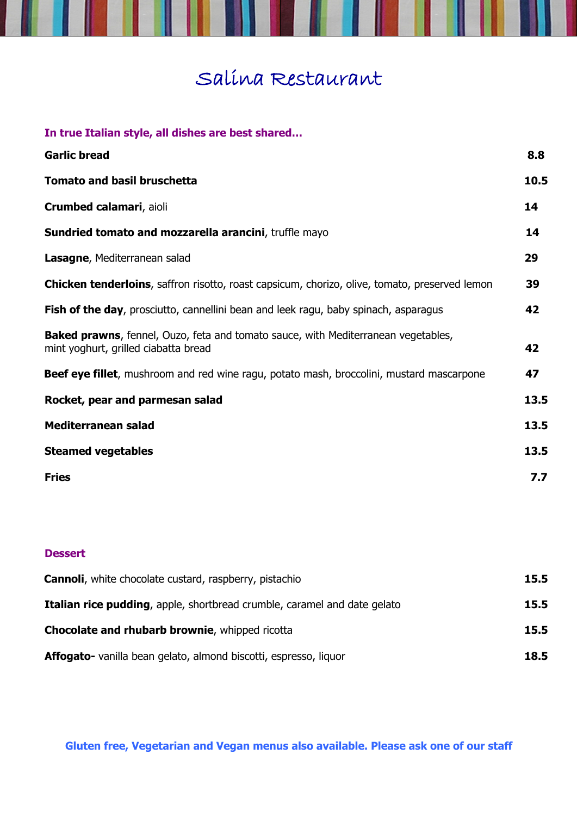## Salina Restaurant

I

| <b>Garlic bread</b>                                                                                                               |  |
|-----------------------------------------------------------------------------------------------------------------------------------|--|
| <b>Tomato and basil bruschetta</b>                                                                                                |  |
| Crumbed calamari, aioli                                                                                                           |  |
| Sundried tomato and mozzarella arancini, truffle mayo                                                                             |  |
| Lasagne, Mediterranean salad                                                                                                      |  |
| <b>Chicken tenderloins</b> , saffron risotto, roast capsicum, chorizo, olive, tomato, preserved lemon                             |  |
| Fish of the day, prosciutto, cannellini bean and leek ragu, baby spinach, asparagus                                               |  |
| <b>Baked prawns</b> , fennel, Ouzo, feta and tomato sauce, with Mediterranean vegetables,<br>mint yoghurt, grilled ciabatta bread |  |
| Beef eye fillet, mushroom and red wine ragu, potato mash, broccolini, mustard mascarpone                                          |  |
| Rocket, pear and parmesan salad                                                                                                   |  |
| Mediterranean salad                                                                                                               |  |
| <b>Steamed vegetables</b>                                                                                                         |  |
| <b>Fries</b>                                                                                                                      |  |

## **Dessert**

| <b>Cannoli</b> , white chocolate custard, raspberry, pistachio                  | 15.5 |
|---------------------------------------------------------------------------------|------|
| <b>Italian rice pudding, apple, shortbread crumble, caramel and date gelato</b> | 15.5 |
| <b>Chocolate and rhubarb brownie</b> , whipped ricotta                          | 15.5 |
| Affogato- vanilla bean gelato, almond biscotti, espresso, liquor                | 18.5 |

**Gluten free, Vegetarian and Vegan menus also available. Please ask one of our staff**